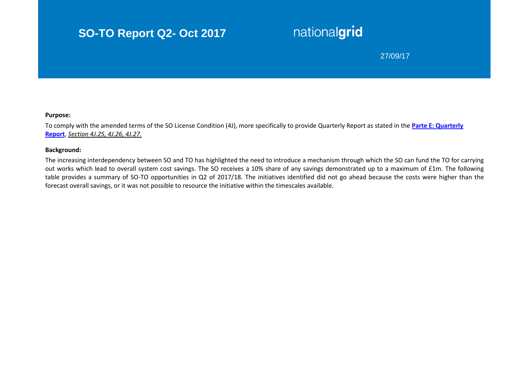# **SO-TO Report Q2- Oct 2017**

# nationalgrid

## 27/09/17

#### **Purpose:**

To comply with the amended terms of the SO License Condition (4J), more specifically to provide Quarterly Report as stated in the **[Parte E: Quarterly](https://epr.ofgem.gov.uk/Content/Documents/National%20Grid%20Electricity%20Transmission%20Plc%20-%20Special%20Conditions%20-%20Current%20Version.pdf)  [Report](https://epr.ofgem.gov.uk/Content/Documents/National%20Grid%20Electricity%20Transmission%20Plc%20-%20Special%20Conditions%20-%20Current%20Version.pdf)**, *Section 4J.25, 4J.26, 4J.27.*

#### **Background:**

The increasing interdependency between SO and TO has highlighted the need to introduce a mechanism through which the SO can fund the TO for carrying out works which lead to overall system cost savings. The SO receives a 10% share of any savings demonstrated up to a maximum of £1m. The following table provides a summary of SO-TO opportunities in Q2 of 2017/18. The initiatives identified did not go ahead because the costs were higher than the forecast overall savings, or it was not possible to resource the initiative within the timescales available.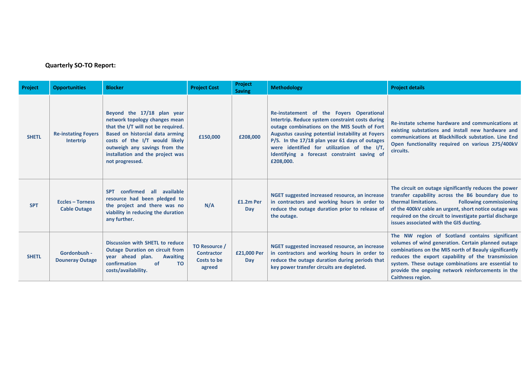### **Quarterly SO-TO Report:**

| Project      | <b>Opportunities</b>                           | <b>Blocker</b>                                                                                                                                                                                                                                                | <b>Project Cost</b>                                         | Project<br><b>Saving</b> | <b>Methodology</b>                                                                                                                                                                                                                                                                                                                                            | <b>Project details</b>                                                                                                                                                                                                                                                                                                                                    |
|--------------|------------------------------------------------|---------------------------------------------------------------------------------------------------------------------------------------------------------------------------------------------------------------------------------------------------------------|-------------------------------------------------------------|--------------------------|---------------------------------------------------------------------------------------------------------------------------------------------------------------------------------------------------------------------------------------------------------------------------------------------------------------------------------------------------------------|-----------------------------------------------------------------------------------------------------------------------------------------------------------------------------------------------------------------------------------------------------------------------------------------------------------------------------------------------------------|
| <b>SHETL</b> | <b>Re-instating Foyers</b><br><b>Intertrip</b> | Beyond the 17/18 plan year<br>network topology changes mean<br>that the I/T will not be required.<br>Based on historcial data arming<br>costs of the I/T would likely<br>outweigh any savings from the<br>installation and the project was<br>not progressed. | £150,000                                                    | £208,000                 | Re-instatement of the Foyers Operational<br>Intertrip. Reduce system constraint costs during<br>outage combinations on the MIS South of Fort<br>Augustus causing potential instability at Foyers<br>P/S. In the 17/18 plan year 61 days of outages<br>were identified for utilization of the I/T,<br>Identifying a forecast constraint saving of<br>£208,000. | Re-instate scheme hardware and communications at<br>existing substations and install new hardware and<br>communications at Blackhillock substation. Line End<br>Open functionality required on various 275/400kV<br>circuits.                                                                                                                             |
| <b>SPT</b>   | <b>Eccles - Torness</b><br><b>Cable Outage</b> | confirmed all available<br><b>SPT</b><br>resource had been pledged to<br>the project and there was no<br>viability in reducing the duration<br>any further.                                                                                                   | N/A                                                         | £1.2m Per<br>Day         | NGET suggested increased resource, an increase<br>in contractors and working hours in order to<br>reduce the outage duration prior to release of<br>the outage.                                                                                                                                                                                               | The circuit on outage significantly reduces the power<br>transfer capability across the B6 boundary due to<br>thermal limitations.<br><b>Following commissioning</b><br>of the 400kV cable an urgent, short notice outage was<br>required on the circuit to investigate partial discharge<br>issues associated with the GIS ducting.                      |
| <b>SHETL</b> | Gordonbush -<br><b>Douneray Outage</b>         | Discussion with SHETL to reduce<br><b>Outage Duration on circuit from</b><br>year ahead plan.<br><b>Awaiting</b><br>confirmation<br>of<br><b>TO</b><br>costs/availability.                                                                                    | TO Resource /<br><b>Contractor</b><br>Costs to be<br>agreed | £21,000 Per<br>Day       | NGET suggested increased resource, an increase<br>in contractors and working hours in order to<br>reduce the outage duration during periods that<br>key power transfer circuits are depleted.                                                                                                                                                                 | The NW region of Scotland contains significant<br>volumes of wind generation. Certain planned outage<br>combinations on the MIS north of Beauly significantly<br>reduces the export capability of the transmission<br>system. These outage combinations are essential to<br>provide the ongoing network reinforcements in the<br><b>Caithness region.</b> |